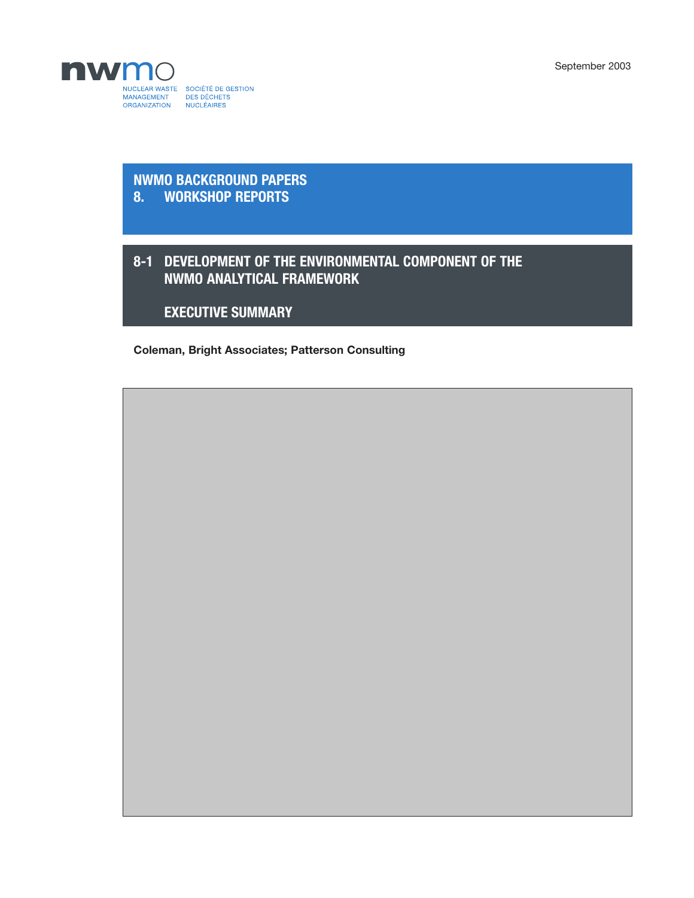September 2003



## **NWMO BACKGROUND PAPERS 8. WORKSHOP REPORTS**

## **8-1 DEVELOPMENT OF THE ENVIRONMENTAL COMPONENT OF THE NWMO ANALYTICAL FRAMEWORK**

**EXECUTIVE SUMMARY**

**Coleman, Bright Associates; Patterson Consulting**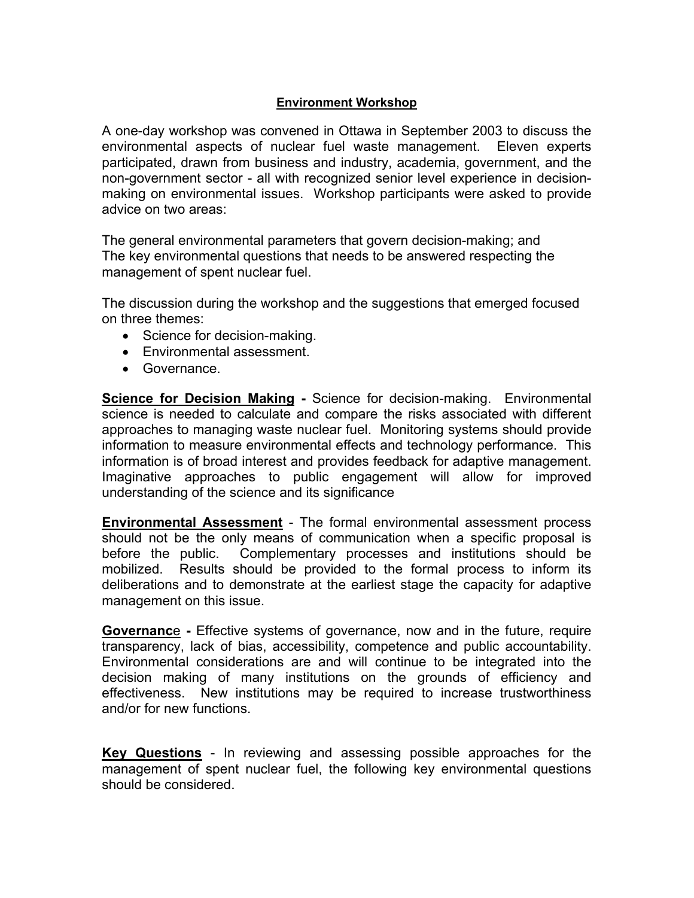## **Environment Workshop**

A one-day workshop was convened in Ottawa in September 2003 to discuss the environmental aspects of nuclear fuel waste management. Eleven experts participated, drawn from business and industry, academia, government, and the non-government sector - all with recognized senior level experience in decisionmaking on environmental issues. Workshop participants were asked to provide advice on two areas:

The general environmental parameters that govern decision-making; and The key environmental questions that needs to be answered respecting the management of spent nuclear fuel.

The discussion during the workshop and the suggestions that emerged focused on three themes:

- Science for decision-making.
- Environmental assessment.
- Governance.

**Science for Decision Making - Science for decision-making. Environmental** science is needed to calculate and compare the risks associated with different approaches to managing waste nuclear fuel. Monitoring systems should provide information to measure environmental effects and technology performance. This information is of broad interest and provides feedback for adaptive management. Imaginative approaches to public engagement will allow for improved understanding of the science and its significance

**Environmental Assessment** - The formal environmental assessment process should not be the only means of communication when a specific proposal is before the public. Complementary processes and institutions should be mobilized. Results should be provided to the formal process to inform its deliberations and to demonstrate at the earliest stage the capacity for adaptive management on this issue.

**Governance - Effective systems of governance, now and in the future, require** transparency, lack of bias, accessibility, competence and public accountability. Environmental considerations are and will continue to be integrated into the decision making of many institutions on the grounds of efficiency and effectiveness. New institutions may be required to increase trustworthiness and/or for new functions.

**Key Questions** - In reviewing and assessing possible approaches for the management of spent nuclear fuel, the following key environmental questions should be considered.